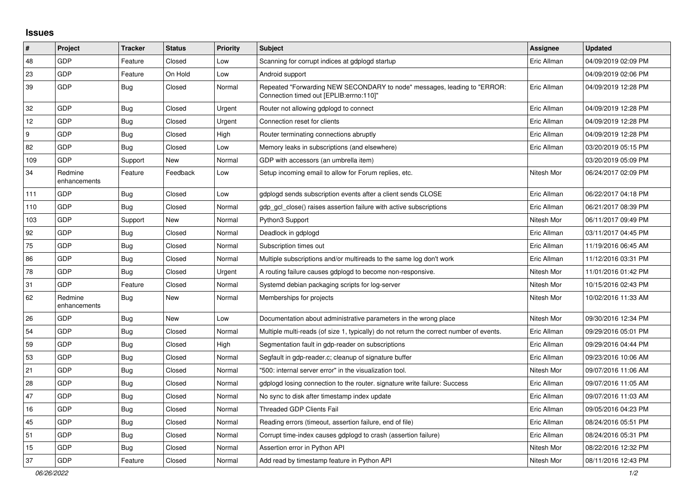## **Issues**

| $\sharp$ | Project                 | <b>Tracker</b> | <b>Status</b> | <b>Priority</b> | <b>Subject</b>                                                                                                      | <b>Assignee</b> | <b>Updated</b>      |
|----------|-------------------------|----------------|---------------|-----------------|---------------------------------------------------------------------------------------------------------------------|-----------------|---------------------|
| 48       | <b>GDP</b>              | Feature        | Closed        | Low             | Scanning for corrupt indices at gdplogd startup                                                                     | Eric Allman     | 04/09/2019 02:09 PM |
| 23       | GDP                     | Feature        | On Hold       | Low             | Android support                                                                                                     |                 | 04/09/2019 02:06 PM |
| 39       | <b>GDP</b>              | <b>Bug</b>     | Closed        | Normal          | Repeated "Forwarding NEW SECONDARY to node" messages, leading to "ERROR:<br>Connection timed out [EPLIB:errno:110]" | Eric Allman     | 04/09/2019 12:28 PM |
| 32       | GDP                     | <b>Bug</b>     | Closed        | Urgent          | Router not allowing gdplogd to connect                                                                              | Eric Allman     | 04/09/2019 12:28 PM |
| 12       | GDP                     | Bug            | Closed        | Urgent          | Connection reset for clients                                                                                        | Eric Allman     | 04/09/2019 12:28 PM |
| 9        | GDP                     | <b>Bug</b>     | Closed        | High            | Router terminating connections abruptly                                                                             | Eric Allman     | 04/09/2019 12:28 PM |
| 82       | <b>GDP</b>              | Bug            | Closed        | Low             | Memory leaks in subscriptions (and elsewhere)                                                                       | Eric Allman     | 03/20/2019 05:15 PM |
| 109      | <b>GDP</b>              | Support        | <b>New</b>    | Normal          | GDP with accessors (an umbrella item)                                                                               |                 | 03/20/2019 05:09 PM |
| 34       | Redmine<br>enhancements | Feature        | Feedback      | Low             | Setup incoming email to allow for Forum replies, etc.                                                               | Nitesh Mor      | 06/24/2017 02:09 PM |
| 111      | GDP                     | <b>Bug</b>     | Closed        | Low             | gdplogd sends subscription events after a client sends CLOSE                                                        | Eric Allman     | 06/22/2017 04:18 PM |
| 110      | GDP                     | Bug            | Closed        | Normal          | gdp gcl close() raises assertion failure with active subscriptions                                                  | Eric Allman     | 06/21/2017 08:39 PM |
| 103      | GDP                     | Support        | New           | Normal          | Python3 Support                                                                                                     | Nitesh Mor      | 06/11/2017 09:49 PM |
| 92       | GDP                     | Bug            | Closed        | Normal          | Deadlock in gdplogd                                                                                                 | Eric Allman     | 03/11/2017 04:45 PM |
| 75       | GDP                     | <b>Bug</b>     | Closed        | Normal          | Subscription times out                                                                                              | Eric Allman     | 11/19/2016 06:45 AM |
| 86       | GDP                     | <b>Bug</b>     | Closed        | Normal          | Multiple subscriptions and/or multireads to the same log don't work                                                 | Eric Allman     | 11/12/2016 03:31 PM |
| 78       | <b>GDP</b>              | <b>Bug</b>     | Closed        | Urgent          | A routing failure causes gdplogd to become non-responsive.                                                          | Nitesh Mor      | 11/01/2016 01:42 PM |
| 31       | GDP                     | Feature        | Closed        | Normal          | Systemd debian packaging scripts for log-server                                                                     | Nitesh Mor      | 10/15/2016 02:43 PM |
| 62       | Redmine<br>enhancements | Bug            | <b>New</b>    | Normal          | Memberships for projects                                                                                            | Nitesh Mor      | 10/02/2016 11:33 AM |
| 26       | GDP                     | Bug            | <b>New</b>    | Low             | Documentation about administrative parameters in the wrong place                                                    | Nitesh Mor      | 09/30/2016 12:34 PM |
| 54       | GDP                     | <b>Bug</b>     | Closed        | Normal          | Multiple multi-reads (of size 1, typically) do not return the correct number of events.                             | Eric Allman     | 09/29/2016 05:01 PM |
| 59       | GDP                     | Bug            | Closed        | High            | Segmentation fault in gdp-reader on subscriptions                                                                   | Eric Allman     | 09/29/2016 04:44 PM |
| 53       | <b>GDP</b>              | Bug            | Closed        | Normal          | Segfault in gdp-reader.c; cleanup of signature buffer                                                               | Eric Allman     | 09/23/2016 10:06 AM |
| 21       | GDP                     | <b>Bug</b>     | Closed        | Normal          | "500: internal server error" in the visualization tool.                                                             | Nitesh Mor      | 09/07/2016 11:06 AM |
| 28       | GDP                     | Bug            | Closed        | Normal          | gdplogd losing connection to the router, signature write failure: Success                                           | Eric Allman     | 09/07/2016 11:05 AM |
| 47       | <b>GDP</b>              | <b>Bug</b>     | Closed        | Normal          | No sync to disk after timestamp index update                                                                        | Eric Allman     | 09/07/2016 11:03 AM |
| 16       | GDP                     | <b>Bug</b>     | Closed        | Normal          | <b>Threaded GDP Clients Fail</b>                                                                                    | Eric Allman     | 09/05/2016 04:23 PM |
| 45       | GDP                     | Bug            | Closed        | Normal          | Reading errors (timeout, assertion failure, end of file)                                                            | Eric Allman     | 08/24/2016 05:51 PM |
| 51       | GDP                     | Bug            | Closed        | Normal          | Corrupt time-index causes gdplogd to crash (assertion failure)                                                      | Eric Allman     | 08/24/2016 05:31 PM |
| 15       | <b>GDP</b>              | Bug            | Closed        | Normal          | Assertion error in Python API                                                                                       | Nitesh Mor      | 08/22/2016 12:32 PM |
| 37       | GDP                     | Feature        | Closed        | Normal          | Add read by timestamp feature in Python API                                                                         | Nitesh Mor      | 08/11/2016 12:43 PM |